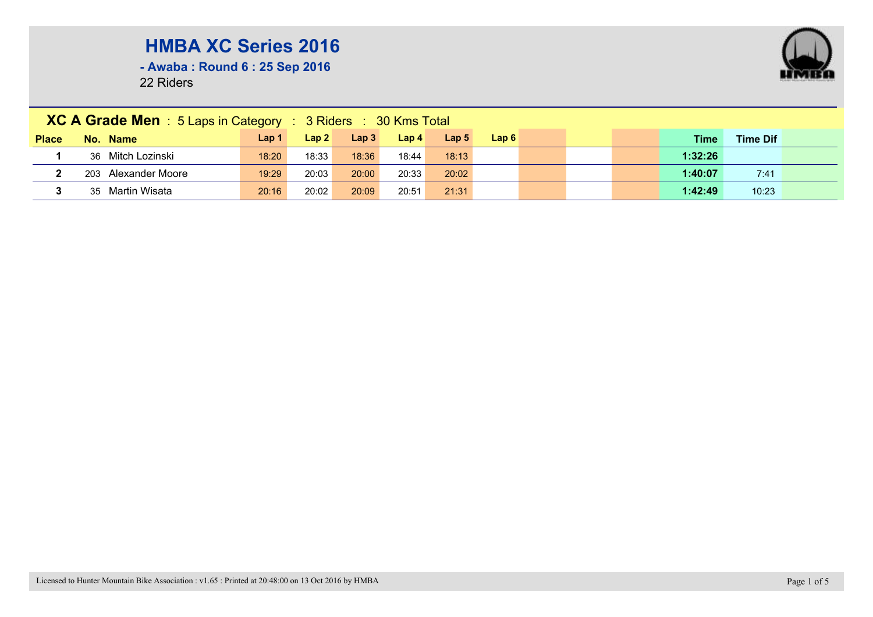**- Awaba : Round 6 : 25 Sep 2016**

|              | XC A Grade Men : 5 Laps in Category : 3 Riders : 30 Kms Total |       |       |                  |                  |                  |      |  |  |  |             |                 |  |
|--------------|---------------------------------------------------------------|-------|-------|------------------|------------------|------------------|------|--|--|--|-------------|-----------------|--|
| <b>Place</b> | No. Name                                                      | Lap 1 | Lap2  | Lap <sub>3</sub> | Lap <sub>4</sub> | Lap <sub>5</sub> | Lap6 |  |  |  | <b>Time</b> | <b>Time Dif</b> |  |
|              | 36 Mitch Lozinski                                             | 18:20 | 18:33 | 18:36            | 18:44            | 18:13            |      |  |  |  | 1:32:26     |                 |  |
|              | 203 Alexander Moore                                           | 19:29 | 20:03 | 20:00            | 20:33            | 20:02            |      |  |  |  | 1:40:07     | 7:41            |  |
|              | 35 Martin Wisata                                              | 20:16 | 20:02 | 20:09            | 20:51            | 21:31            |      |  |  |  | 1:42:49     | 10:23           |  |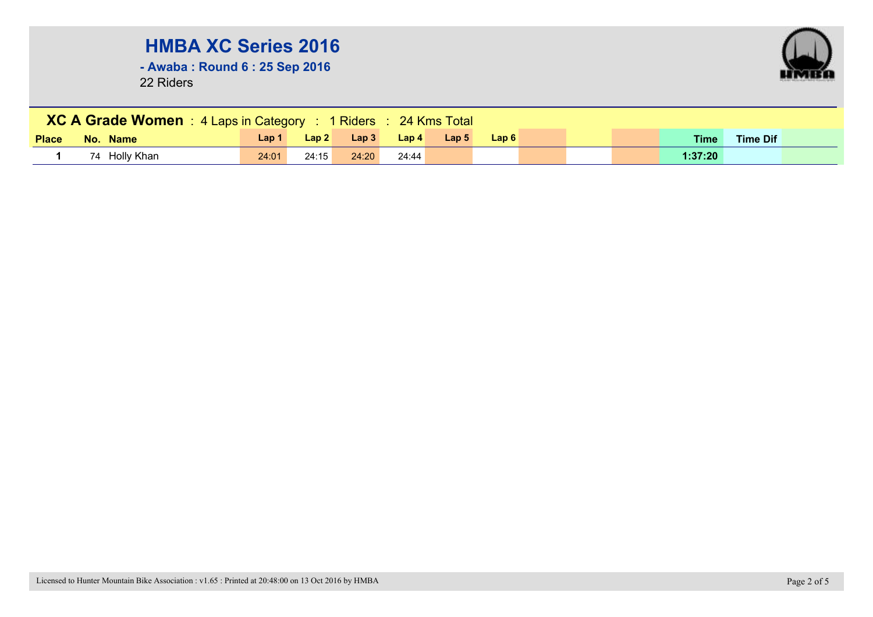**- Awaba : Round 6 : 25 Sep 2016**



| <b>XC A Grade Women</b> : 4 Laps in Category : 1 Riders : 24 Kms Total |               |              |       |       |                  |                  |      |  |  |  |             |                 |  |
|------------------------------------------------------------------------|---------------|--------------|-------|-------|------------------|------------------|------|--|--|--|-------------|-----------------|--|
| <b>Place</b>                                                           | No. Name      | <b>Lap 1</b> | Lap2  | Lap3  | Lap <sub>4</sub> | Lap <sub>5</sub> | Lap6 |  |  |  | <b>Time</b> | <b>Time Dif</b> |  |
|                                                                        | 74 Holly Khan | 24:01        | 24:15 | 24:20 | 24:44            |                  |      |  |  |  | 1:37:20     |                 |  |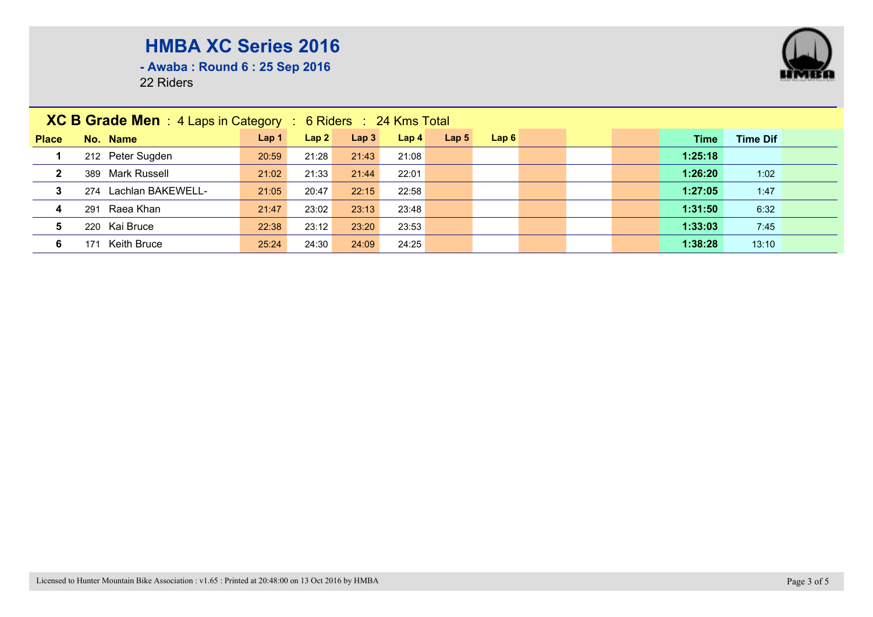

**- Awaba : Round 6 : 25 Sep 2016**

| <b>XC B Grade Men</b> : 4 Laps in Category : 6 Riders : 24 Kms Total |                       |                  |       |                  |                  |                  |      |  |  |  |         |                 |  |
|----------------------------------------------------------------------|-----------------------|------------------|-------|------------------|------------------|------------------|------|--|--|--|---------|-----------------|--|
| <b>Place</b>                                                         | No. Name              | Lap <sub>1</sub> | Lap2  | Lap <sub>3</sub> | Lap <sub>4</sub> | Lap <sub>5</sub> | Lap6 |  |  |  | Time    | <b>Time Dif</b> |  |
|                                                                      | 212 Peter Sugden      | 20:59            | 21:28 | 21:43            | 21:08            |                  |      |  |  |  | 1:25:18 |                 |  |
| $\mathbf{2}$                                                         | 389 Mark Russell      | 21:02            | 21:33 | 21:44            | 22:01            |                  |      |  |  |  | 1:26:20 | 1:02            |  |
| 3                                                                    | 274 Lachlan BAKEWELL- | 21:05            | 20:47 | 22:15            | 22:58            |                  |      |  |  |  | 1:27:05 | 1:47            |  |
| $\overline{\mathbf{4}}$                                              | 291 Raea Khan         | 21:47            | 23:02 | 23:13            | 23:48            |                  |      |  |  |  | 1:31:50 | 6:32            |  |
| 5                                                                    | 220 Kai Bruce         | 22:38            | 23:12 | 23:20            | 23:53            |                  |      |  |  |  | 1:33:03 | 7:45            |  |
| 6                                                                    | Keith Bruce<br>171    | 25:24            | 24:30 | 24:09            | 24:25            |                  |      |  |  |  | 1:38:28 | 13:10           |  |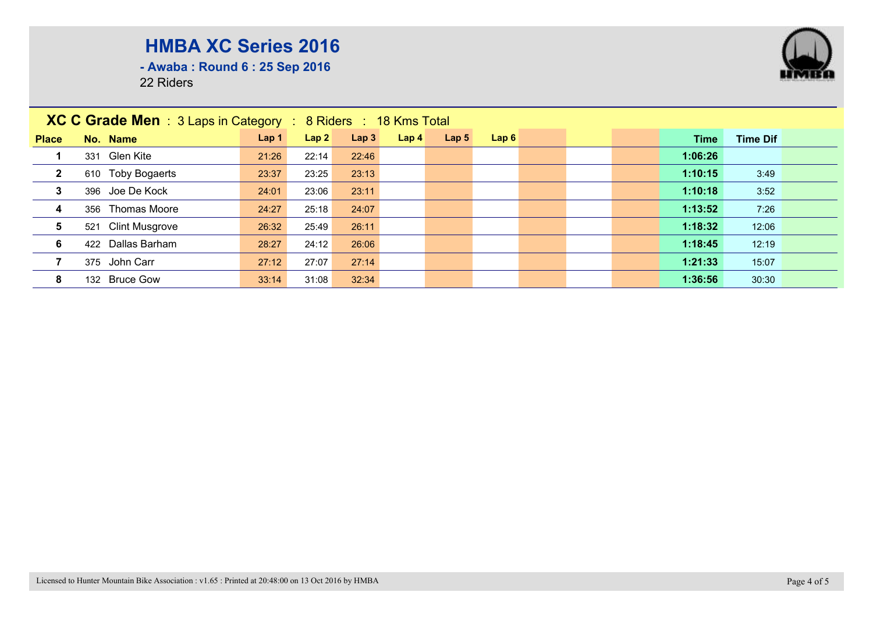**- Awaba : Round 6 : 25 Sep 2016**

| XC C Grade Men : 3 Laps in Category : 8 Riders : 18 Kms Total |                              |       |       |       |                  |                  |      |  |  |         |                 |  |
|---------------------------------------------------------------|------------------------------|-------|-------|-------|------------------|------------------|------|--|--|---------|-----------------|--|
| <b>Place</b>                                                  | No. Name                     | Lap 1 | Lap2  | Lap3  | Lap <sub>4</sub> | Lap <sub>5</sub> | Lap6 |  |  | Time    | <b>Time Dif</b> |  |
|                                                               | 331 Glen Kite                | 21:26 | 22:14 | 22:46 |                  |                  |      |  |  | 1:06:26 |                 |  |
| $\mathbf{2}$                                                  | <b>Toby Bogaerts</b><br>610  | 23:37 | 23:25 | 23:13 |                  |                  |      |  |  | 1:10:15 | 3:49            |  |
| $\mathbf{3}$                                                  | 396 Joe De Kock              | 24:01 | 23:06 | 23:11 |                  |                  |      |  |  | 1:10:18 | 3:52            |  |
| $\overline{4}$                                                | 356 Thomas Moore             | 24:27 | 25:18 | 24:07 |                  |                  |      |  |  | 1:13:52 | 7:26            |  |
| 5                                                             | <b>Clint Musgrove</b><br>521 | 26:32 | 25:49 | 26:11 |                  |                  |      |  |  | 1:18:32 | 12:06           |  |
| 6                                                             | 422 Dallas Barham            | 28:27 | 24:12 | 26:06 |                  |                  |      |  |  | 1:18:45 | 12:19           |  |
|                                                               | 375 John Carr                | 27:12 | 27:07 | 27:14 |                  |                  |      |  |  | 1:21:33 | 15:07           |  |
| 8                                                             | 132 Bruce Gow                | 33:14 | 31:08 | 32:34 |                  |                  |      |  |  | 1:36:56 | 30:30           |  |